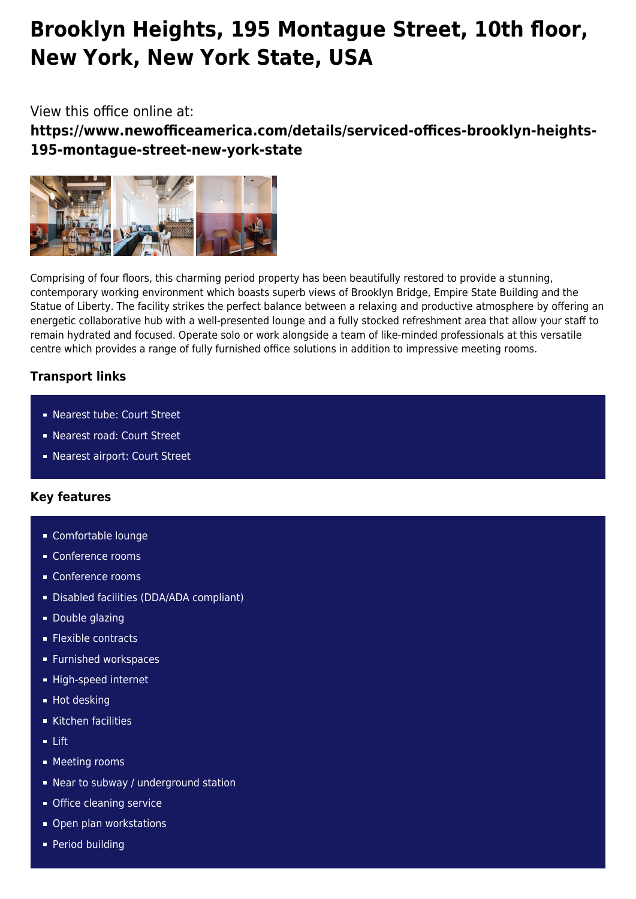# **Brooklyn Heights, 195 Montague Street, 10th floor, New York, New York State, USA**

## View this office online at:

**https://www.newofficeamerica.com/details/serviced-offices-brooklyn-heights-195-montague-street-new-york-state**



Comprising of four floors, this charming period property has been beautifully restored to provide a stunning, contemporary working environment which boasts superb views of Brooklyn Bridge, Empire State Building and the Statue of Liberty. The facility strikes the perfect balance between a relaxing and productive atmosphere by offering an energetic collaborative hub with a well-presented lounge and a fully stocked refreshment area that allow your staff to remain hydrated and focused. Operate solo or work alongside a team of like-minded professionals at this versatile centre which provides a range of fully furnished office solutions in addition to impressive meeting rooms.

## **Transport links**

- Nearest tube: Court Street
- Nearest road: Court Street
- Nearest airport: Court Street

## **Key features**

- Comfortable lounge
- **Conference rooms**
- Conference rooms
- Disabled facilities (DDA/ADA compliant)
- **Double glazing**
- **Flexible contracts**
- **Furnished workspaces**
- High-speed internet
- **Hot desking**
- Kitchen facilities
- Lift
- **Meeting rooms**
- Near to subway / underground station
- **Office cleaning service**
- Open plan workstations
- **Period building**